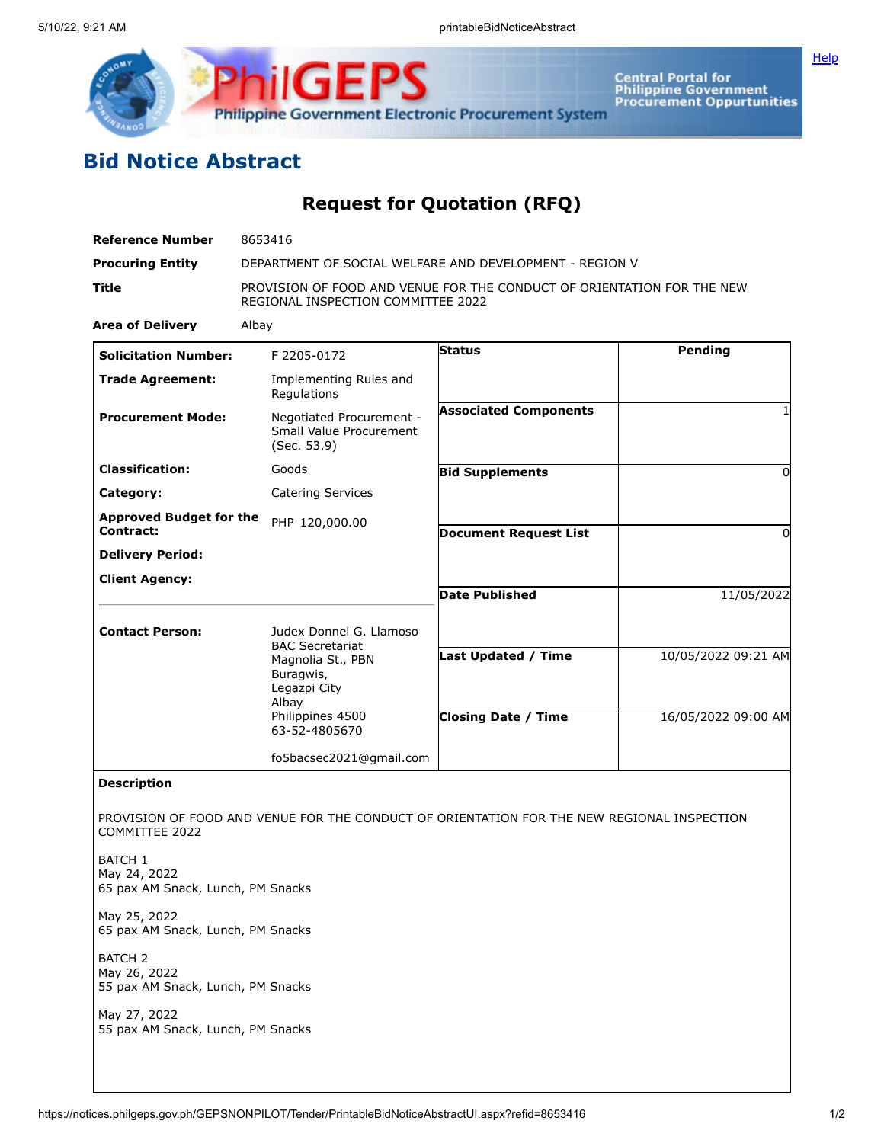

## **Bid Notice Abstract**

## **Request for Quotation (RFQ)**

**ilGEPS** 

| <b>Reference Number</b>                                             | 8653416                                                                                                      |                                                                                            |                     |
|---------------------------------------------------------------------|--------------------------------------------------------------------------------------------------------------|--------------------------------------------------------------------------------------------|---------------------|
| <b>Procuring Entity</b>                                             | DEPARTMENT OF SOCIAL WELFARE AND DEVELOPMENT - REGION V                                                      |                                                                                            |                     |
| Title                                                               | PROVISION OF FOOD AND VENUE FOR THE CONDUCT OF ORIENTATION FOR THE NEW<br>REGIONAL INSPECTION COMMITTEE 2022 |                                                                                            |                     |
| <b>Area of Delivery</b>                                             | Albay                                                                                                        |                                                                                            |                     |
| <b>Solicitation Number:</b>                                         | F 2205-0172                                                                                                  | Pending<br><b>Status</b>                                                                   |                     |
| <b>Trade Agreement:</b>                                             | Implementing Rules and<br>Regulations                                                                        |                                                                                            |                     |
| <b>Procurement Mode:</b>                                            | Negotiated Procurement -<br>Small Value Procurement<br>(Sec. 53.9)                                           | <b>Associated Components</b>                                                               |                     |
| <b>Classification:</b>                                              | Goods                                                                                                        | <b>Bid Supplements</b>                                                                     | 0                   |
| Category:                                                           | <b>Catering Services</b>                                                                                     |                                                                                            |                     |
| <b>Approved Budget for the</b><br>Contract:                         | PHP 120,000.00                                                                                               | <b>Document Request List</b>                                                               | 0                   |
| <b>Delivery Period:</b>                                             |                                                                                                              |                                                                                            |                     |
| <b>Client Agency:</b>                                               |                                                                                                              |                                                                                            |                     |
|                                                                     |                                                                                                              | <b>Date Published</b>                                                                      | 11/05/2022          |
| <b>Contact Person:</b>                                              | Judex Donnel G. Llamoso<br><b>BAC Secretariat</b>                                                            |                                                                                            |                     |
|                                                                     | Magnolia St., PBN<br>Buragwis,<br>Legazpi City<br>Albay                                                      | <b>Last Updated / Time</b>                                                                 | 10/05/2022 09:21 AM |
|                                                                     | Philippines 4500<br>63-52-4805670                                                                            | <b>Closing Date / Time</b>                                                                 | 16/05/2022 09:00 AM |
|                                                                     | fo5bacsec2021@gmail.com                                                                                      |                                                                                            |                     |
| <b>Description</b>                                                  |                                                                                                              |                                                                                            |                     |
| COMMITTEE 2022                                                      |                                                                                                              | PROVISION OF FOOD AND VENUE FOR THE CONDUCT OF ORIENTATION FOR THE NEW REGIONAL INSPECTION |                     |
| BATCH 1<br>May 24, 2022<br>65 pax AM Snack, Lunch, PM Snacks        |                                                                                                              |                                                                                            |                     |
| May 25, 2022<br>65 pax AM Snack, Lunch, PM Snacks                   |                                                                                                              |                                                                                            |                     |
| <b>BATCH 2</b><br>May 26, 2022<br>55 pax AM Snack, Lunch, PM Snacks |                                                                                                              |                                                                                            |                     |
| May 27, 2022<br>55 pax AM Snack, Lunch, PM Snacks                   |                                                                                                              |                                                                                            |                     |